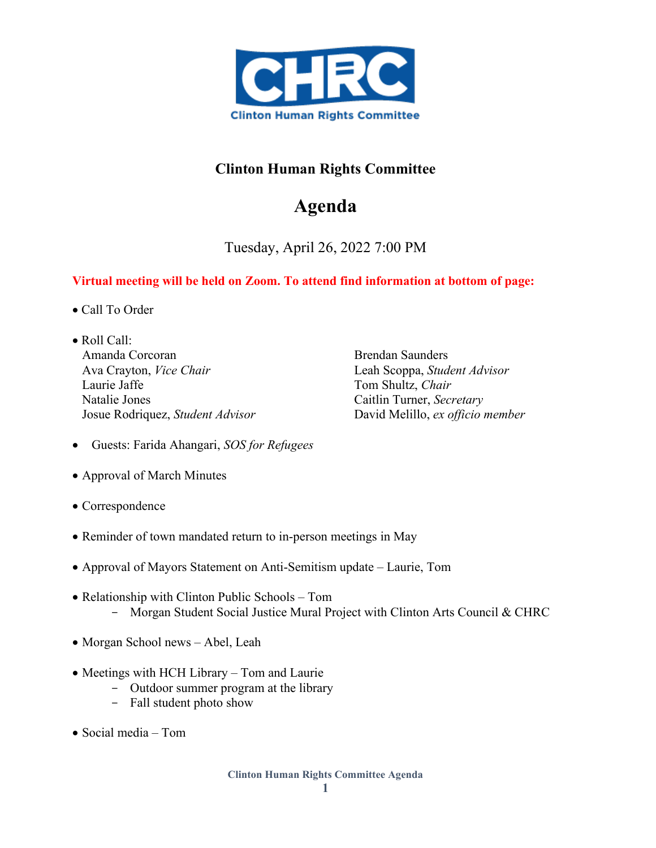

## **Clinton Human Rights Committee**

## **Agenda**

Tuesday, April 26, 2022 7:00 PM

## **Virtual meeting will be held on Zoom. To attend find information at bottom of page:**

- Call To Order
- Roll Call: Amanda Corcoran Ava Crayton, *Vice Chair* Laurie Jaffe Natalie Jones Josue Rodriquez, *Student Advisor*

Brendan Saunders Leah Scoppa, *Student Advisor*  Tom Shultz, *Chair* Caitlin Turner, *Secretary* David Melillo, *ex officio member*

- Guests: Farida Ahangari, *SOS for Refugees*
- Approval of March Minutes
- Correspondence
- Reminder of town mandated return to in-person meetings in May
- Approval of Mayors Statement on Anti-Semitism update Laurie, Tom
- Relationship with Clinton Public Schools Tom - Morgan Student Social Justice Mural Project with Clinton Arts Council & CHRC
- Morgan School news Abel, Leah
- Meetings with HCH Library Tom and Laurie
	- Outdoor summer program at the library
	- Fall student photo show
- Social media Tom

**Clinton Human Rights Committee Agenda**